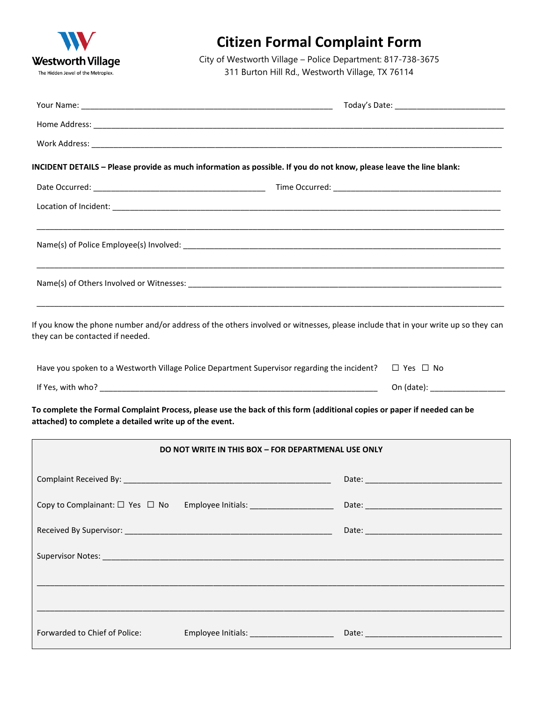

## **Citizen Formal Complaint Form**

City of Westworth Village – Police Department: 817-738-3675 311 Burton Hill Rd., Westworth Village, TX 76114

| INCIDENT DETAILS - Please provide as much information as possible. If you do not know, please leave the line blank:                                                                |                                                     |                                                                                  |                      |
|------------------------------------------------------------------------------------------------------------------------------------------------------------------------------------|-----------------------------------------------------|----------------------------------------------------------------------------------|----------------------|
|                                                                                                                                                                                    |                                                     |                                                                                  |                      |
|                                                                                                                                                                                    |                                                     |                                                                                  |                      |
|                                                                                                                                                                                    |                                                     |                                                                                  |                      |
|                                                                                                                                                                                    |                                                     |                                                                                  |                      |
| If you know the phone number and/or address of the others involved or witnesses, please include that in your write up so they can<br>they can be contacted if needed.              |                                                     |                                                                                  |                      |
| Have you spoken to a Westworth Village Police Department Supervisor regarding the incident?                                                                                        |                                                     |                                                                                  | $\Box$ Yes $\Box$ No |
|                                                                                                                                                                                    |                                                     |                                                                                  |                      |
| To complete the Formal Complaint Process, please use the back of this form (additional copies or paper if needed can be<br>attached) to complete a detailed write up of the event. |                                                     |                                                                                  |                      |
|                                                                                                                                                                                    | DO NOT WRITE IN THIS BOX - FOR DEPARTMENAL USE ONLY |                                                                                  |                      |
|                                                                                                                                                                                    |                                                     |                                                                                  |                      |
| Copy to Complainant: $\Box$ Yes $\Box$ No Employee Initials: ________________________                                                                                              |                                                     |                                                                                  |                      |
|                                                                                                                                                                                    |                                                     |                                                                                  |                      |
|                                                                                                                                                                                    |                                                     |                                                                                  |                      |
|                                                                                                                                                                                    |                                                     | ,一个人的人都是不是一个人的人,我们就是一个人的人,我们就是一个人的人,我们就是一个人的人,我们就是一个人的人,我们就是一个人的人,我们就是一个人的人,我们就是 |                      |
| Forwarded to Chief of Police:                                                                                                                                                      | Employee Initials: ____________________             |                                                                                  |                      |